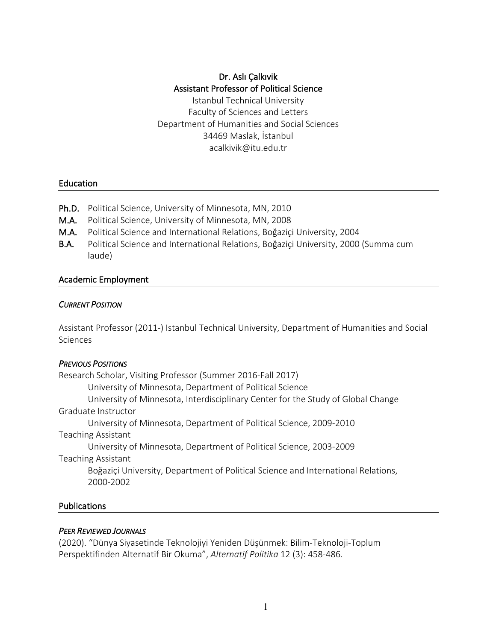# Dr. Aslı Çalkıvik Assistant Professor of Political Science

Istanbul Technical University Faculty of Sciences and Letters Department of Humanities and Social Sciences 34469 Maslak, İstanbul acalkivik@itu.edu.tr

#### Education

- Ph.D. Political Science, University of Minnesota, MN, 2010
- M.A. Political Science, University of Minnesota, MN, 2008
- M.A. Political Science and International Relations, Boğaziçi University, 2004
- B.A. Political Science and International Relations, Boğaziçi University, 2000 (Summa cum laude)

#### Academic Employment

#### *CURRENT POSITION*

Assistant Professor (2011-) Istanbul Technical University, Department of Humanities and Social Sciences

#### *PREVIOUS POSITIONS*

Research Scholar, Visiting Professor (Summer 2016-Fall 2017) University of Minnesota, Department of Political Science University of Minnesota, Interdisciplinary Center for the Study of Global Change Graduate Instructor University of Minnesota, Department of Political Science, 2009-2010 Teaching Assistant University of Minnesota, Department of Political Science, 2003-2009 Teaching Assistant Boğaziçi University, Department of Political Science and International Relations, 2000-2002

#### Publications

#### *PEER REVIEWED JOURNALS*

(2020). "Dünya Siyasetinde Teknolojiyi Yeniden Düşünmek: Bilim-Teknoloji-Toplum Perspektifinden Alternatif Bir Okuma", *Alternatif Politika* 12 (3): 458-486.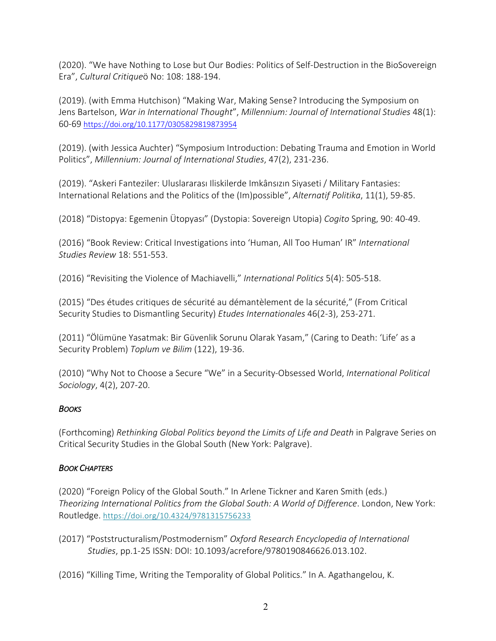(2020). "We have Nothing to Lose but Our Bodies: Politics of Self-Destruction in the BioSovereign Era", *Cultural Critique*ö No: 108: 188-194.

(2019). (with Emma Hutchison) "Making War, Making Sense? Introducing the Symposium on Jens Bartelson, *War in International Thought*", *Millennium: Journal of International Studies* 48(1): 60-69 https://doi.org/10.1177/0305829819873954

(2019). (with Jessica Auchter) "Symposium Introduction: Debating Trauma and Emotion in World Politics", *Millennium: Journal of International Studies*, 47(2), 231-236.

(2019). "Askeri Fanteziler: Uluslararası Iliskilerde Imkânsızın Siyaseti / Military Fantasies: International Relations and the Politics of the (Im)possible", *Alternatif Politika*, 11(1), 59-85.

(2018) "Distopya: Egemenin Ütopyası" (Dystopia: Sovereign Utopia) *Cogito* Spring, 90: 40-49.

(2016) "Book Review: Critical Investigations into 'Human, All Too Human' IR" *International Studies Review* 18: 551-553.

(2016) "Revisiting the Violence of Machiavelli," *International Politics* 5(4): 505-518.

(2015) "Des études critiques de sécurité au démantèlement de la sécurité," (From Critical Security Studies to Dismantling Security) *Etudes Internationales* 46(2-3), 253-271.

(2011) "Ölümüne Yasatmak: Bir Güvenlik Sorunu Olarak Yasam," (Caring to Death: 'Life' as a Security Problem) *Toplum ve Bilim* (122), 19-36.

(2010) "Why Not to Choose a Secure "We" in a Security-Obsessed World, *International Political Sociology*, 4(2), 207-20.

## *BOOKS*

(Forthcoming) *Rethinking Global Politics beyond the Limits of Life and Death* in Palgrave Series on Critical Security Studies in the Global South (New York: Palgrave).

## *BOOK CHAPTERS*

(2020) "Foreign Policy of the Global South." In Arlene Tickner and Karen Smith (eds.) *Theorizing International Politics from the Global South: A World of Difference*. London, New York: Routledge. https://doi.org/10.4324/9781315756233

(2017) "Poststructuralism/Postmodernism" *Oxford Research Encyclopedia of International Studies*, pp.1-25 ISSN: DOI: 10.1093/acrefore/9780190846626.013.102.

(2016) "Killing Time, Writing the Temporality of Global Politics." In A. Agathangelou, K.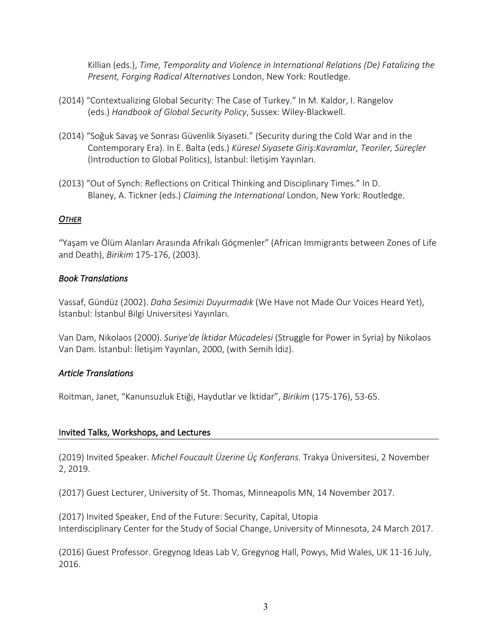Killian (eds.), *Time, Temporality and Violence in International Relations (De) Fatalizing the Present, Forging Radical Alternatives* London, New York: Routledge.

- (2014) "Contextualizing Global Security: The Case of Turkey." In M. Kaldor, I. Rangelov (eds.) *Handbook of Global Security Policy*, Sussex: Wiley-Blackwell.
- (2014) "Soğuk Savaş ve Sonrası Güvenlik Siyaseti." (Security during the Cold War and in the Contemporary Era). In E. Balta (eds.) *Küresel Siyasete Giriş:Kavramlar, Teoriler, Süreçler* (Introduction to Global Politics), İstanbul: İletişim Yayınları.
- (2013) "Out of Synch: Reflections on Critical Thinking and Disciplinary Times." In D. Blaney, A. Tickner (eds.) *Claiming the International* London, New York: Routledge.

## *OTHER*

"Yaşam ve Ölüm Alanları Arasında Afrikalı Göçmenler" (African Immigrants between Zones of Life and Death), *Birikim* 175-176, (2003).

## *Book Translations*

Vassaf, Gündüz (2002). *Daha Sesimizi Duyurmadık* (We Have not Made Our Voices Heard Yet), İstanbul: İstanbul Bilgi Universitesi Yayınları.

Van Dam, Nikolaos (2000). *Suriye'de İktidar Mücadelesi* (Struggle for Power in Syria) by Nikolaos Van Dam. İstanbul: İletişim Yayınları, 2000, (with Semih İdiz).

## *Article Translations*

Roitman, Janet, "Kanunsuzluk Etiği, Haydutlar ve İktidar", *Birikim* (175-176), 53-65.

## Invited Talks, Workshops, and Lectures

(2019) Invited Speaker. *Michel Foucault Üzerine Üç Konferans*. Trakya Üniversitesi, 2 November 2, 2019.

(2017) Guest Lecturer, University of St. Thomas, Minneapolis MN, 14 November 2017.

(2017) Invited Speaker, End of the Future: Security, Capital, Utopia Interdisciplinary Center for the Study of Social Change, University of Minnesota, 24 March 2017.

(2016) Guest Professor. Gregynog Ideas Lab V, Gregynog Hall, Powys, Mid Wales, UK 11-16 July, 2016.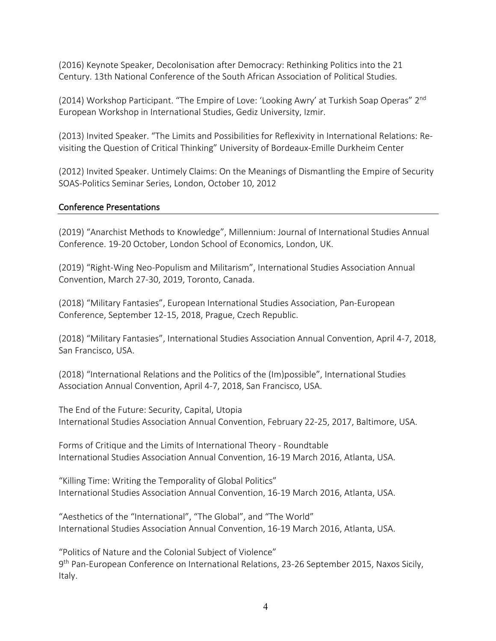(2016) Keynote Speaker, Decolonisation after Democracy: Rethinking Politics into the 21 Century. 13th National Conference of the South African Association of Political Studies.

(2014) Workshop Participant. "The Empire of Love: 'Looking Awry' at Turkish Soap Operas" 2<sup>nd</sup> European Workshop in International Studies, Gediz University, Izmir.

(2013) Invited Speaker. "The Limits and Possibilities for Reflexivity in International Relations: Revisiting the Question of Critical Thinking" University of Bordeaux-Emille Durkheim Center

(2012) Invited Speaker. Untimely Claims: On the Meanings of Dismantling the Empire of Security SOAS-Politics Seminar Series, London, October 10, 2012

#### Conference Presentations

(2019) "Anarchist Methods to Knowledge", Millennium: Journal of International Studies Annual Conference. 19-20 October, London School of Economics, London, UK.

(2019) "Right-Wing Neo-Populism and Militarism", International Studies Association Annual Convention, March 27-30, 2019, Toronto, Canada.

(2018) "Military Fantasies", European International Studies Association, Pan-European Conference, September 12-15, 2018, Prague, Czech Republic.

(2018) "Military Fantasies", International Studies Association Annual Convention, April 4-7, 2018, San Francisco, USA.

(2018) "International Relations and the Politics of the (Im)possible", International Studies Association Annual Convention, April 4-7, 2018, San Francisco, USA.

The End of the Future: Security, Capital, Utopia International Studies Association Annual Convention, February 22-25, 2017, Baltimore, USA.

Forms of Critique and the Limits of International Theory - Roundtable International Studies Association Annual Convention, 16-19 March 2016, Atlanta, USA.

"Killing Time: Writing the Temporality of Global Politics" International Studies Association Annual Convention, 16-19 March 2016, Atlanta, USA.

"Aesthetics of the "International", "The Global", and "The World" International Studies Association Annual Convention, 16-19 March 2016, Atlanta, USA.

"Politics of Nature and the Colonial Subject of Violence" 9th Pan-European Conference on International Relations, 23-26 September 2015, Naxos Sicily, Italy.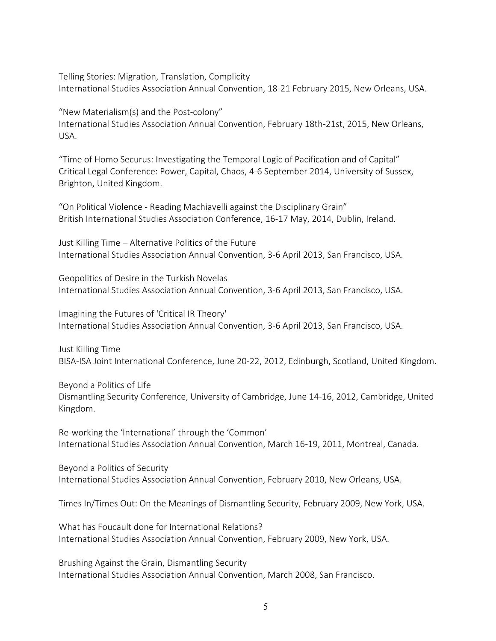Telling Stories: Migration, Translation, Complicity International Studies Association Annual Convention, 18-21 February 2015, New Orleans, USA.

"New Materialism(s) and the Post-colony" International Studies Association Annual Convention, February 18th-21st, 2015, New Orleans, USA.

"Time of Homo Securus: Investigating the Temporal Logic of Pacification and of Capital" Critical Legal Conference: Power, Capital, Chaos, 4-6 September 2014, University of Sussex, Brighton, United Kingdom.

"On Political Violence - Reading Machiavelli against the Disciplinary Grain" British International Studies Association Conference, 16-17 May, 2014, Dublin, Ireland.

Just Killing Time – Alternative Politics of the Future International Studies Association Annual Convention, 3-6 April 2013, San Francisco, USA.

Geopolitics of Desire in the Turkish Novelas International Studies Association Annual Convention, 3-6 April 2013, San Francisco, USA.

Imagining the Futures of 'Critical IR Theory' International Studies Association Annual Convention, 3-6 April 2013, San Francisco, USA.

Just Killing Time BISA-ISA Joint International Conference, June 20-22, 2012, Edinburgh, Scotland, United Kingdom.

Beyond a Politics of Life Dismantling Security Conference, University of Cambridge, June 14-16, 2012, Cambridge, United Kingdom.

Re-working the 'International' through the 'Common' International Studies Association Annual Convention, March 16-19, 2011, Montreal, Canada.

Beyond a Politics of Security International Studies Association Annual Convention, February 2010, New Orleans, USA.

Times In/Times Out: On the Meanings of Dismantling Security, February 2009, New York, USA.

What has Foucault done for International Relations? International Studies Association Annual Convention, February 2009, New York, USA.

Brushing Against the Grain, Dismantling Security International Studies Association Annual Convention, March 2008, San Francisco.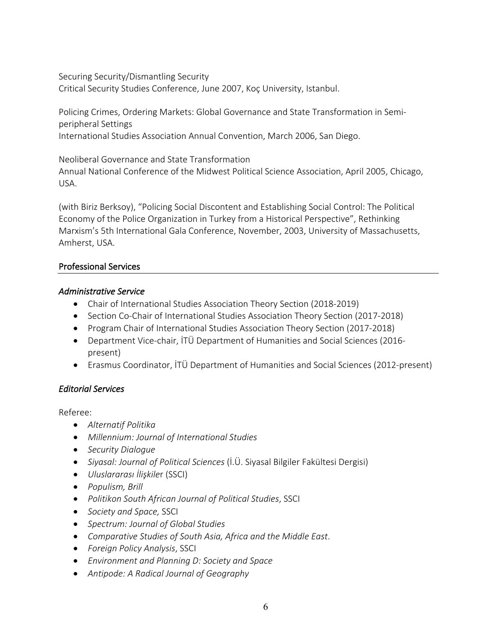Securing Security/Dismantling Security Critical Security Studies Conference, June 2007, Koç University, Istanbul.

Policing Crimes, Ordering Markets: Global Governance and State Transformation in Semiperipheral Settings International Studies Association Annual Convention, March 2006, San Diego.

Neoliberal Governance and State Transformation

Annual National Conference of the Midwest Political Science Association, April 2005, Chicago, USA.

(with Biriz Berksoy), "Policing Social Discontent and Establishing Social Control: The Political Economy of the Police Organization in Turkey from a Historical Perspective", Rethinking Marxism's 5th International Gala Conference, November, 2003, University of Massachusetts, Amherst, USA.

## Professional Services

#### *Administrative Service*

- Chair of International Studies Association Theory Section (2018-2019)
- Section Co-Chair of International Studies Association Theory Section (2017-2018)
- Program Chair of International Studies Association Theory Section (2017-2018)
- Department Vice-chair, İTÜ Department of Humanities and Social Sciences (2016 present)
- Erasmus Coordinator, İTÜ Department of Humanities and Social Sciences (2012-present)

## *Editorial Services*

Referee:

- *Alternatif Politika*
- *Millennium: Journal of International Studies*
- *Security Dialogue*
- *Siyasal: Journal of Political Sciences* (İ.Ü. Siyasal Bilgiler Fakültesi Dergisi)
- *Uluslararası İlişkile*r (SSCI)
- *Populism, Brill*
- *Politikon South African Journal of Political Studies*, SSCI
- *Society and Space,* SSCI
- *Spectrum: Journal of Global Studies*
- *Comparative Studies of South Asia, Africa and the Middle East*.
- *Foreign Policy Analysis*, SSCI
- *Environment and Planning D: Society and Space*
- *Antipode: A Radical Journal of Geography*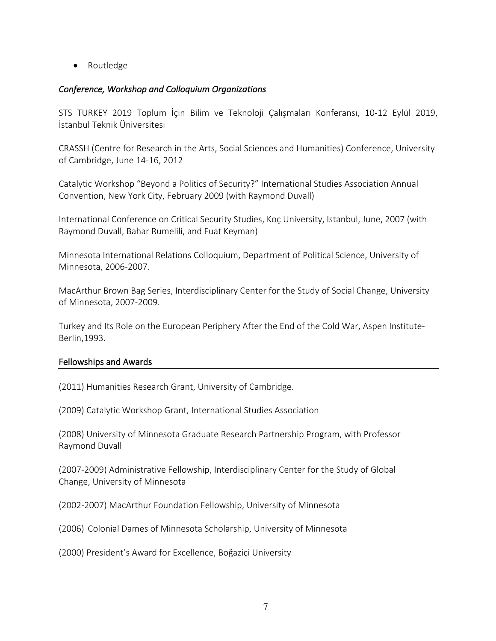• Routledge

## *Conference, Workshop and Colloquium Organizations*

STS TURKEY 2019 Toplum İçin Bilim ve Teknoloji Çalışmaları Konferansı, 10-12 Eylül 2019, İstanbul Teknik Üniversitesi

CRASSH (Centre for Research in the Arts, Social Sciences and Humanities) Conference, University of Cambridge, June 14-16, 2012

Catalytic Workshop "Beyond a Politics of Security?" International Studies Association Annual Convention, New York City, February 2009 (with Raymond Duvall)

International Conference on Critical Security Studies, Koç University, Istanbul, June, 2007 (with Raymond Duvall, Bahar Rumelili, and Fuat Keyman)

Minnesota International Relations Colloquium, Department of Political Science, University of Minnesota, 2006-2007.

MacArthur Brown Bag Series, Interdisciplinary Center for the Study of Social Change, University of Minnesota, 2007-2009.

Turkey and Its Role on the European Periphery After the End of the Cold War, Aspen Institute-Berlin,1993.

## Fellowships and Awards

(2011) Humanities Research Grant, University of Cambridge.

(2009) Catalytic Workshop Grant, International Studies Association

(2008) University of Minnesota Graduate Research Partnership Program, with Professor Raymond Duvall

(2007-2009) Administrative Fellowship, Interdisciplinary Center for the Study of Global Change, University of Minnesota

(2002-2007) MacArthur Foundation Fellowship, University of Minnesota

(2006) Colonial Dames of Minnesota Scholarship, University of Minnesota

(2000) President's Award for Excellence, Boğaziçi University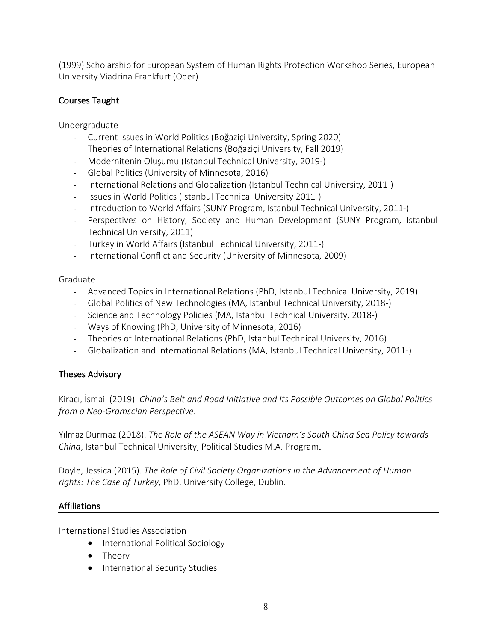(1999) Scholarship for European System of Human Rights Protection Workshop Series, European University Viadrina Frankfurt (Oder)

## Courses Taught

Undergraduate

- Current Issues in World Politics (Boğaziçi University, Spring 2020)
- Theories of International Relations (Boğaziçi University, Fall 2019)
- Modernitenin Oluşumu (Istanbul Technical University, 2019-)
- Global Politics (University of Minnesota, 2016)
- International Relations and Globalization (Istanbul Technical University, 2011-)
- Issues in World Politics (Istanbul Technical University 2011-)
- Introduction to World Affairs (SUNY Program, Istanbul Technical University, 2011-)
- Perspectives on History, Society and Human Development (SUNY Program, Istanbul Technical University, 2011)
- Turkey in World Affairs (Istanbul Technical University, 2011-)
- International Conflict and Security (University of Minnesota, 2009)

#### Graduate

- Advanced Topics in International Relations (PhD, Istanbul Technical University, 2019).
- Global Politics of New Technologies (MA, Istanbul Technical University, 2018-)
- Science and Technology Policies (MA, Istanbul Technical University, 2018-)
- Ways of Knowing (PhD, University of Minnesota, 2016)
- Theories of International Relations (PhD, Istanbul Technical University, 2016)
- Globalization and International Relations (MA, Istanbul Technical University, 2011-)

## Theses Advisory

Kiracı, İsmail (2019). *China's Belt and Road Initiative and Its Possible Outcomes on Global Politics from a Neo-Gramscian Perspective*.

Yılmaz Durmaz (2018). *The Role of the ASEAN Way in Vietnam's South China Sea Policy towards China*, Istanbul Technical University, Political Studies M.A. Program.

Doyle, Jessica (2015). *The Role of Civil Society Organizations in the Advancement of Human rights: The Case of Turkey*, PhD. University College, Dublin.

## Affiliations

International Studies Association

- International Political Sociology
- Theory
- International Security Studies